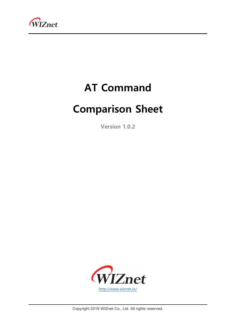

# AT Command

# Comparison Sheet

Version 1.0.2



Copyright 2019 WIZnet Co., Ltd. All rights reserved.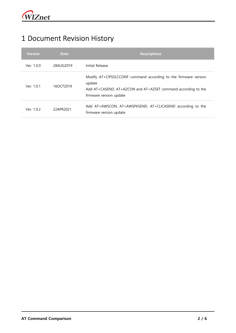#### 1 Document Revision History

| <b>Version</b> | <b>Date</b> | <b>Descriptions</b>                                                                                                                                                   |
|----------------|-------------|-----------------------------------------------------------------------------------------------------------------------------------------------------------------------|
| Ver. 1.0.0     | 28AUG2019   | Initial Release                                                                                                                                                       |
| Ver. 1.0.1     | 160CT2019   | Modify AT+CIPSSLCCONF command according to the firmware version<br>update<br>Add AT+CASEND, AT+AZCON and AT+AZSET command according to the<br>firmware version update |
| Ver. 1.0.2     | 22APR2021   | Add AT+AWSCON, AT+AWSPKSEND, AT+CLICASEND according to the<br>firmware version update                                                                                 |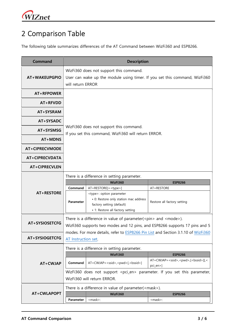

### 2 Comparison Table

The following table summarizes differences of the AT Command between WizFi360 and ESP8266.

| <b>Command</b>                   | <b>Description</b>                                                                                                                                                                                                                                                                                        |                                                                                                                                                                              |                                                                                |  |  |
|----------------------------------|-----------------------------------------------------------------------------------------------------------------------------------------------------------------------------------------------------------------------------------------------------------------------------------------------------------|------------------------------------------------------------------------------------------------------------------------------------------------------------------------------|--------------------------------------------------------------------------------|--|--|
| AT+WAKEUPGPIO                    | WizFi360 does not support this command.<br>User can wake up the module using timer. If you set this command, WizFi360<br>will return ERROR                                                                                                                                                                |                                                                                                                                                                              |                                                                                |  |  |
| AT+RFPOWER                       |                                                                                                                                                                                                                                                                                                           |                                                                                                                                                                              |                                                                                |  |  |
| AT+RFVDD                         |                                                                                                                                                                                                                                                                                                           |                                                                                                                                                                              |                                                                                |  |  |
| AT+SYSRAM                        |                                                                                                                                                                                                                                                                                                           |                                                                                                                                                                              |                                                                                |  |  |
| AT+SYSADC                        | WizFi360 does not support this command.<br>If you set this command, WizFi360 will return ERROR.                                                                                                                                                                                                           |                                                                                                                                                                              |                                                                                |  |  |
| AT+SYSMSG                        |                                                                                                                                                                                                                                                                                                           |                                                                                                                                                                              |                                                                                |  |  |
| AT+MDNS                          |                                                                                                                                                                                                                                                                                                           |                                                                                                                                                                              |                                                                                |  |  |
| <b>AT+CIPRECVMODE</b>            |                                                                                                                                                                                                                                                                                                           |                                                                                                                                                                              |                                                                                |  |  |
| <b>AT+CIPRECVDATA</b>            |                                                                                                                                                                                                                                                                                                           |                                                                                                                                                                              |                                                                                |  |  |
| AT+CIPRECVLEN                    |                                                                                                                                                                                                                                                                                                           |                                                                                                                                                                              |                                                                                |  |  |
|                                  | There is a difference in setting parameter.<br>WizFi360<br><b>ESP8266</b>                                                                                                                                                                                                                                 |                                                                                                                                                                              |                                                                                |  |  |
| AT+RESTORE                       | Command<br><b>Parameter</b>                                                                                                                                                                                                                                                                               | AT+RESTORE[= <type>]<br/><type>: option parameter<br/>• 0: Restore only station mac address<br/>factory setting (default)<br/>• 1: Restore all factory setting</type></type> | AT+RESTORE<br>Restore all factory setting                                      |  |  |
| AT+SYSIOSETCFG<br>AT+SYSIOGETCFG | There is a difference in value of parameter( $\langle p\text{in} \rangle$ and $\langle \text{mode} \rangle$ ).<br>Wizfi360 supports two modes and 12 pins, and ESP8266 supports 17 pins and 5<br>modes. For more details, refer to ESP8266 Pin List and Section 3.1.10 of WizFi360<br>AT Instruction set. |                                                                                                                                                                              |                                                                                |  |  |
|                                  | There is a difference in setting parameter.                                                                                                                                                                                                                                                               |                                                                                                                                                                              |                                                                                |  |  |
|                                  |                                                                                                                                                                                                                                                                                                           | WizFi360                                                                                                                                                                     | <b>ESP8266</b>                                                                 |  |  |
| AT+CWJAP                         | Command                                                                                                                                                                                                                                                                                                   | AT+CWJAP= <ssid>,<pwd>[,<br/>bssid&gt;]</pwd></ssid>                                                                                                                         | AT+CWJAP= <ssid>,<pwd>,[<br/>&gt;bssid&gt;][,&lt;<br/>pci_en&gt;]</pwd></ssid> |  |  |
|                                  | WizFi360 does not support <pci_en> parameter. If you set this parameter,<br/>WizFi360 will return ERROR.</pci_en>                                                                                                                                                                                         |                                                                                                                                                                              |                                                                                |  |  |
|                                  | There is a difference in value of parameter( <mask>).</mask>                                                                                                                                                                                                                                              |                                                                                                                                                                              |                                                                                |  |  |
| AT+CWLAPOPT                      | Parameter                                                                                                                                                                                                                                                                                                 | WizFi360<br><mask>:</mask>                                                                                                                                                   | <b>ESP8266</b><br><mask>:</mask>                                               |  |  |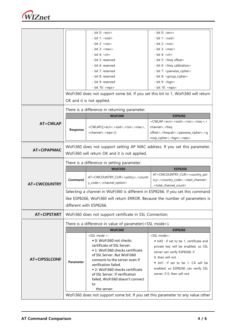

|                      |                                                                                    | - bit $0:$ <ecn></ecn>                                                                                                     | - bit $0:$ <ecn></ecn>                                                             |  |  |
|----------------------|------------------------------------------------------------------------------------|----------------------------------------------------------------------------------------------------------------------------|------------------------------------------------------------------------------------|--|--|
|                      |                                                                                    | - bit 1: <ssid></ssid>                                                                                                     | - bit 1: <ssid></ssid>                                                             |  |  |
|                      |                                                                                    | $- bit 2: $                                                                                                                | $- bit 2: $                                                                        |  |  |
|                      |                                                                                    | $-$ bit 3: $\langle$ mac $\rangle$                                                                                         |                                                                                    |  |  |
|                      |                                                                                    | - bit 4: $ch>$                                                                                                             | - bit 4: $ch>$                                                                     |  |  |
|                      |                                                                                    | - bit 5: reserved                                                                                                          | - bit 5: <freq offset=""></freq>                                                   |  |  |
|                      |                                                                                    | - bit 6: reserved                                                                                                          | - bit 6: <freq calibration=""></freq>                                              |  |  |
|                      |                                                                                    | - bit 7: reserved                                                                                                          | - bit 7: < pairwise_cipher>                                                        |  |  |
|                      |                                                                                    | - bit 8: reserved                                                                                                          | - bit 8: < group_cipher>                                                           |  |  |
|                      |                                                                                    | - bit 9: reserved                                                                                                          | - bit 9: $<$ bgn>                                                                  |  |  |
|                      |                                                                                    | - bit 10: <wps></wps>                                                                                                      | - bit 10: <wps></wps>                                                              |  |  |
|                      |                                                                                    |                                                                                                                            |                                                                                    |  |  |
|                      | WizFi360 does not support some bit. If you set this bit to 1, WizFi360 will return |                                                                                                                            |                                                                                    |  |  |
|                      | OK and it is not applied.                                                          |                                                                                                                            |                                                                                    |  |  |
|                      | There is a difference in returning parameter.                                      |                                                                                                                            |                                                                                    |  |  |
|                      |                                                                                    | WizFi360                                                                                                                   | <b>ESP8266</b>                                                                     |  |  |
| <b>AT+CWLAP</b>      |                                                                                    |                                                                                                                            | +CWLAP: <ecn>,<ssid>,<rssi>,<mac>,&lt;</mac></rssi></ssid></ecn>                   |  |  |
|                      | Response                                                                           | +CWLAP:([ <ecn>,<ssid>,<rssi>,<mac>,<br/><channel>,<wps>))</wps></channel></mac></rssi></ssid></ecn>                       | channel>, <freq< td=""></freq<>                                                    |  |  |
|                      |                                                                                    |                                                                                                                            | offset>, <freqcali>,<pairwise_cipher>,<g< td=""></g<></pairwise_cipher></freqcali> |  |  |
|                      |                                                                                    |                                                                                                                            | roup_cipher>,<br>bgn>, <wps></wps>                                                 |  |  |
|                      |                                                                                    |                                                                                                                            |                                                                                    |  |  |
| AT+CIPAPMAC          | WizFi360 does not support setting AP MAC address. If you set this parameter,       |                                                                                                                            |                                                                                    |  |  |
|                      |                                                                                    | WizFi360 will return OK and it is not applied.                                                                             |                                                                                    |  |  |
|                      | There is a difference in setting parameter.                                        |                                                                                                                            |                                                                                    |  |  |
|                      |                                                                                    |                                                                                                                            |                                                                                    |  |  |
|                      |                                                                                    |                                                                                                                            |                                                                                    |  |  |
|                      |                                                                                    | WizFi360                                                                                                                   | <b>ESP8266</b>                                                                     |  |  |
|                      |                                                                                    | AT+CWCOUNTRY_CUR= <policy>,<countr< td=""><td>AT+CWCOUNTRY_CUR=<country_pol< td=""></country_pol<></td></countr<></policy> | AT+CWCOUNTRY_CUR= <country_pol< td=""></country_pol<>                              |  |  |
|                      | Command                                                                            | y_code>, <channel_option></channel_option>                                                                                 | icy>, <country_code>,<start_channel></start_channel></country_code>                |  |  |
| <b>AT+CWCOUNTRY</b>  |                                                                                    |                                                                                                                            | , <total_channel_count></total_channel_count>                                      |  |  |
|                      |                                                                                    | Selecting a channel in WizFi360 is different in ESP8266. If you set this command                                           |                                                                                    |  |  |
|                      |                                                                                    |                                                                                                                            | like ESP8266, WizFi360 will return ERROR. Because the number of parameters is      |  |  |
|                      |                                                                                    | different with ESP8266.                                                                                                    |                                                                                    |  |  |
|                      |                                                                                    |                                                                                                                            |                                                                                    |  |  |
| AT+CIPSTART          |                                                                                    | WizFi360 does not support certificate in SSL Connection.                                                                   |                                                                                    |  |  |
|                      |                                                                                    | There is a difference in value of parameter( <ssl mode="">).</ssl>                                                         |                                                                                    |  |  |
|                      |                                                                                    | WizFi360                                                                                                                   | <b>ESP8266</b>                                                                     |  |  |
|                      |                                                                                    | <ssl mode="">:</ssl>                                                                                                       | <ssl mode="">:</ssl>                                                               |  |  |
|                      |                                                                                    | • 0: WizFi360 not checks                                                                                                   | • bit0 : if set to be 1, certificate and                                           |  |  |
|                      |                                                                                    | certificate of SSL Server.                                                                                                 | private key will be enabled, so SSL                                                |  |  |
|                      |                                                                                    | • 1: WizFi360 checks certificate                                                                                           | server can verify ESP8266; if                                                      |  |  |
|                      |                                                                                    | of SSL Server. But WizFi360                                                                                                | 0, then will not.                                                                  |  |  |
| <b>AT+CIPSSLCONF</b> | <b>Parameter</b>                                                                   | connects to the server even if                                                                                             |                                                                                    |  |  |
|                      |                                                                                    | verification failed.                                                                                                       | • bit1 : if set to be 1, CA will be                                                |  |  |
|                      |                                                                                    | • 2: WizFi360 checks certificate                                                                                           | enabled, so ESP8266 can verify SSL                                                 |  |  |
|                      |                                                                                    | of SSL Server. If verification                                                                                             | server; if 0, then will not.                                                       |  |  |
|                      |                                                                                    | failed, WizFi360 doesn't connect<br>to                                                                                     |                                                                                    |  |  |
|                      |                                                                                    | the server.                                                                                                                |                                                                                    |  |  |
|                      |                                                                                    |                                                                                                                            | WizFi360 does not support some bit. If you set this parameter to any value other   |  |  |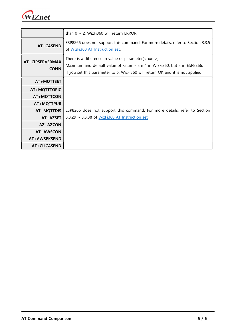

|                                | than $0 \sim 2$ , WizFi360 will return ERROR.                                                                                                                                                                                   |
|--------------------------------|---------------------------------------------------------------------------------------------------------------------------------------------------------------------------------------------------------------------------------|
| AT+CASEND                      | ESP8266 does not support this command. For more details, refer to Section 3.3.5<br>of WizFi360 AT Instruction set.                                                                                                              |
| AT+CIPSERVERMAX<br><b>CONN</b> | There is a difference in value of parameter( <num>).<br/>Maximum and default value of <num> are 4 in WizFi360, but 5 in ESP8266.<br/>If you set this parameter to 5, WizFi360 will return OK and it is not applied.</num></num> |
| AT+MQTTSET                     |                                                                                                                                                                                                                                 |
| AT+MQTTTOPIC                   |                                                                                                                                                                                                                                 |
| AT+MQTTCON                     |                                                                                                                                                                                                                                 |
| AT+MQTTPUB                     |                                                                                                                                                                                                                                 |
| AT+MQTTDIS                     | ESP8266 does not support this command. For more details, refer to Section                                                                                                                                                       |
| AT+AZSET                       | 3.3.29 ~ 3.3.38 of WizFi360 AT Instruction set.                                                                                                                                                                                 |
| AZ+AZCON                       |                                                                                                                                                                                                                                 |
| AT+AWSCON                      |                                                                                                                                                                                                                                 |
| AT+AWSPKSEND                   |                                                                                                                                                                                                                                 |
| AT+CLICASEND                   |                                                                                                                                                                                                                                 |